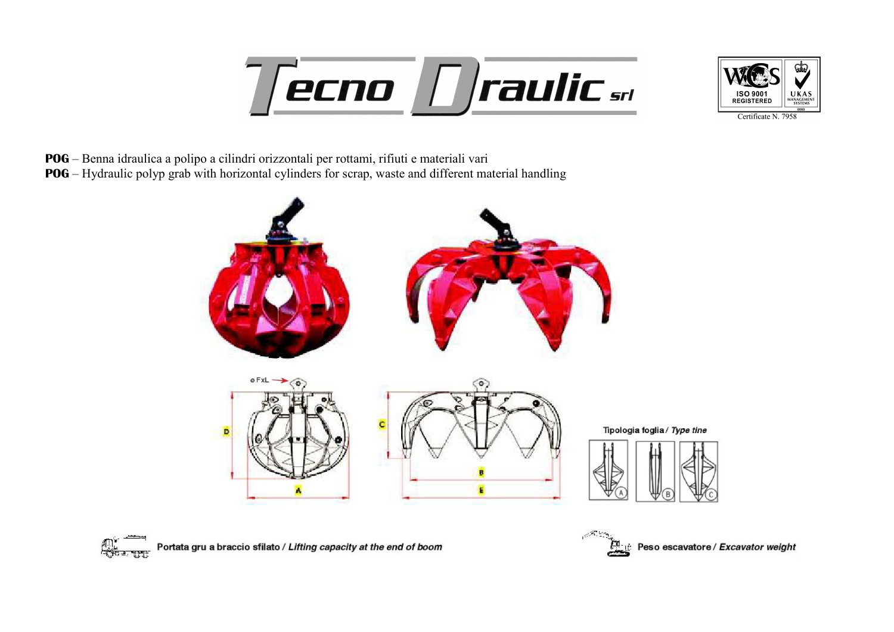## **ecno | Traulic srl**



POG – Benna idraulica a polipo a cilindri orizzontali per rottami, rifiuti e materiali vari

POG – Hydraulic polyp grab with horizontal cylinders for scrap, waste and different material handling